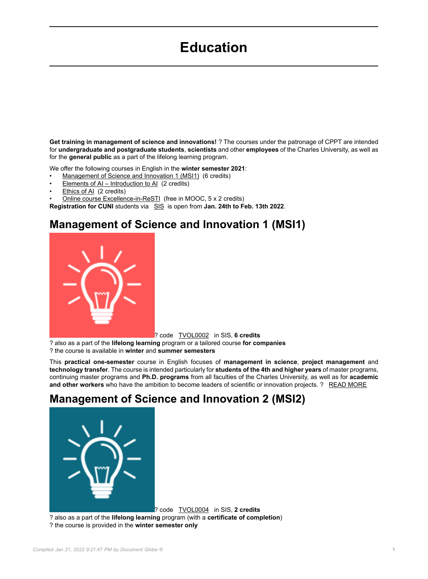# **Education**

**Get training in management of science and innovations!** ? The courses under the patronage of CPPT are intended for **undergraduate and postgraduate students**, **scientists** and other **employees** of the Charles University, as well as for the **general public** as a part of the lifelong learning program.

We offer the following courses in English in the **winter semester 2021**:

- Management of Science and Innovation 1 (MSI1) (6 credits)
- Elements of AI Introduction to AI (2 credits)
- Ethics of AI (2 credits)
- Online course Excellence-in-ReSTI (free in MOOC, 5 x 2 credits)

**Registration for CUNI** students via [SIS](https://is.cuni.cz/studium/predmety/index.php?do=ustav&kod=71-CPPT&fak=11710) is open from Jan. 24th to Feb. 13th 2022.

#### **Management of Science and Innovation 1 (MSI1)**



? code [TVOL0002](https://is.cuni.cz/studium/predmety/index.php?do=predmet&kod=TVOL0002) in SIS, **6 credits**

? also as a part of the **lifelong learning** program or a tailored course **for companies** ? the course is available in **winter** and **summer semesters**

This **practical one-semester** course in English focuses of **management in science**, **project management** and **technology transfer**. The course is intended particularly for **students of the 4th and higher years** of master programs, continuing master programs and **Ph.D. programs** from all faculties of the Charles University, as well as for **academic and other workers** who have the ambition to become leaders of scientific or innovation projects. ? [READ MORE](https://cppt.cuni.cz/CPPTNEN-40.html)

## **Management of Science and Innovation 2 (MSI2)**

? code [TVOL0004](https://is.cuni.cz/studium/predmety/index.php?do=predmet&kod=TVOL0004) in SIS, **2 credits**

? also as a part of the **lifelong learning** program (with a **certificate of completion**)

? the course is provided in the **winter semester only**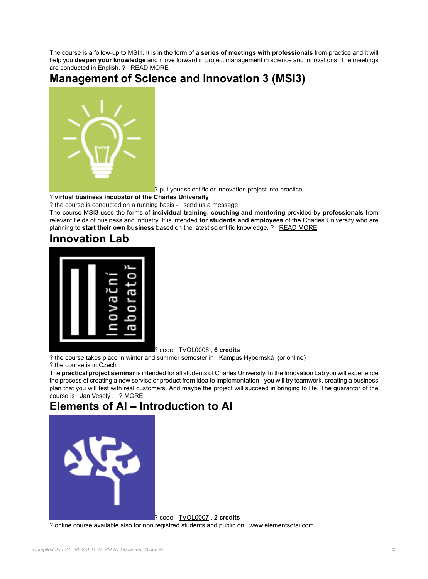The course is a follow-up to MSI1. It is in the form of a **series of meetings with professionals** from practice and it will help you **deepen your knowledge** and move forward in project management in science and innovations. The meetings are conducted in English. ? [READ MORE](https://cppt.cuni.cz/CPPTNEN-84.html)

### **Management of Science and Innovation 3 (MSI3)**



? put your scientific or innovation project into practice

#### ? **virtual business incubator of the Charles University**

? the course is conducted on a running basis - [send us a message](mailto:msi@ruk.cuni.cz)

The course MSI3 uses the forms of **individual training**, **couching and mentoring** provided by **professionals** from relevant fields of business and industry. It is intended **for students and employees** of the Charles University who are planning to **start their own business** based on the latest scientific knowledge. ? [READ MORE](https://cppt.cuni.cz/CPPTNEN-85.html)

## **Innovation Lab**



? code [TVOL0006](https://is.cuni.cz/studium/predmety/index.php?do=predmet&kod=TVOL0006) , **6 credits**

? the course takes place in winter and summer semester in [Kampus Hybernská](https://www.kampushybernska.cz/) (or online)

? the course is in Czech

The **practical project seminar** is intended for all students of Charles University. In the Innovation Lab you will experience the process of creating a new service or product from idea to implementation - you will try teamwork, creating a business plan that you will test with real customers. And maybe the project will succeed in bringing to life. The guarantor of the course is [Jan Veselý](https://www.linkedin.com/in/janvesely/) . [? MORE](https://cppt.cuni.cz/CPPTNEN-89.html)

## **Elements of AI – Introduction to AI**



? code [TVOL0007](https://is.cuni.cz/studium/predmety/index.php?do=predmet&kod=TVOL0007) , **2 credits** ? online course available also for non registred students and public on [www.elementsofai.com](https://www.elementsofai.com/)

*Compiled Jan 21, 2022 9:21:47 PM by Document Globe ®* **2**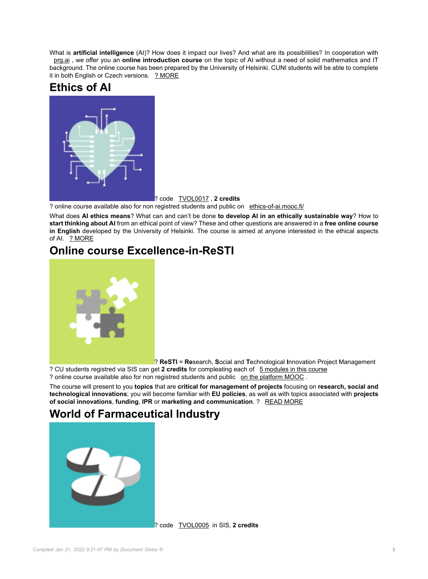What is **artificial intelligence** (AI)? How does it impact our lives? And what are its possibilities? In cooperation with [prg.ai](https://prg.ai/) , we offer you an **online introduction course** on the topic of AI without a need of solid mathematics and IT background. The online course has been prepared by the University of Helsinki. CUNI students will be able to complete it in both English or Czech versions. [? MORE](https://is.cuni.cz/studium/predmety/index.php?do=predmet&kod=TVOL0007)

## **Ethics of AI**



? code [TVOL0017](https://is.cuni.cz/studium/predmety/index.php?do=predmet&kod=TVOL0017) , **2 credits**

? online course available also for non registred students and public on [ethics-of-ai.mooc.fi/](https://ethics-of-ai.mooc.fi/)

What does **AI ethics means**? What can and can't be done **to develop AI in an ethically sustainable way**? How to **start thinking about AI** from an ethical point of view? These and other questions are answered in a **free online course in English** developed by the University of Helsinki. The course is aimed at anyone interested in the ethical aspects of AI. [? MORE](https://cppt.cuni.cz/CPPTN-506.html)

#### **Online course Excellence-in-ReSTI**



? **ReSTI** = **Re**search, **S**ocial and **T**echnological **I**nnovation Project Management

? CU students registred via SIS can get **2 credits** for compleating each of [5 modules in this course](https://cppt.cuni.cz/CPPTNEN-86.html#2) ? online course available also for non registred students and public [on the platform MOOC](https://mooc.cuni.cz/course/view.php?id=24) .

The course will present to you **topics** that are **critical for management of projects** focusing on **research, social and technological innovations**; you will become familiar with **EU policies**, as well as with topics associated with **projects of social innovations**, **funding**, **IPR** or **marketing and communication**. ? [READ MORE](https://cppt.cuni.cz/CPPTNEN-86.html)

## **World of Farmaceutical Industry**



? code [TVOL0005](https://is.cuni.cz/studium/eng/predmety/index.php?do=predmet&kod=TVOL0005) in SIS, **2 credits**